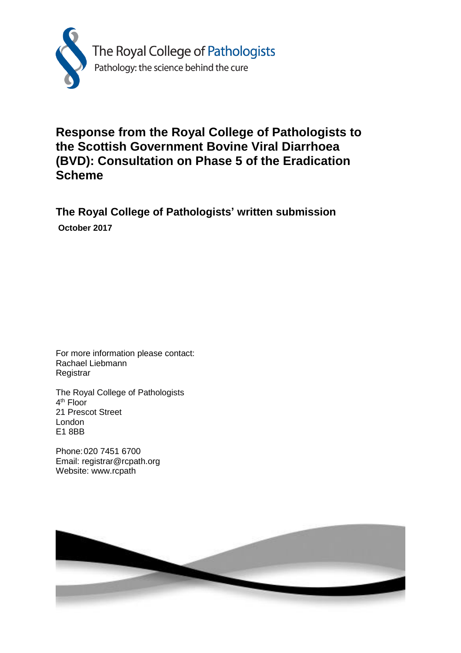

## **Response from the Royal College of Pathologists to the Scottish Government Bovine Viral Diarrhoea (BVD): Consultation on Phase 5 of the Eradication Scheme**

## **The Royal College of Pathologists' written submission October 2017**

For more information please contact: Rachael Liebmann **Registrar** 

The Royal College of Pathologists 4<sup>th</sup> Floor 21 Prescot Street London E1 8BB

Phone:020 7451 6700 Email: registrar@rcpath.org Website: www.rcpath